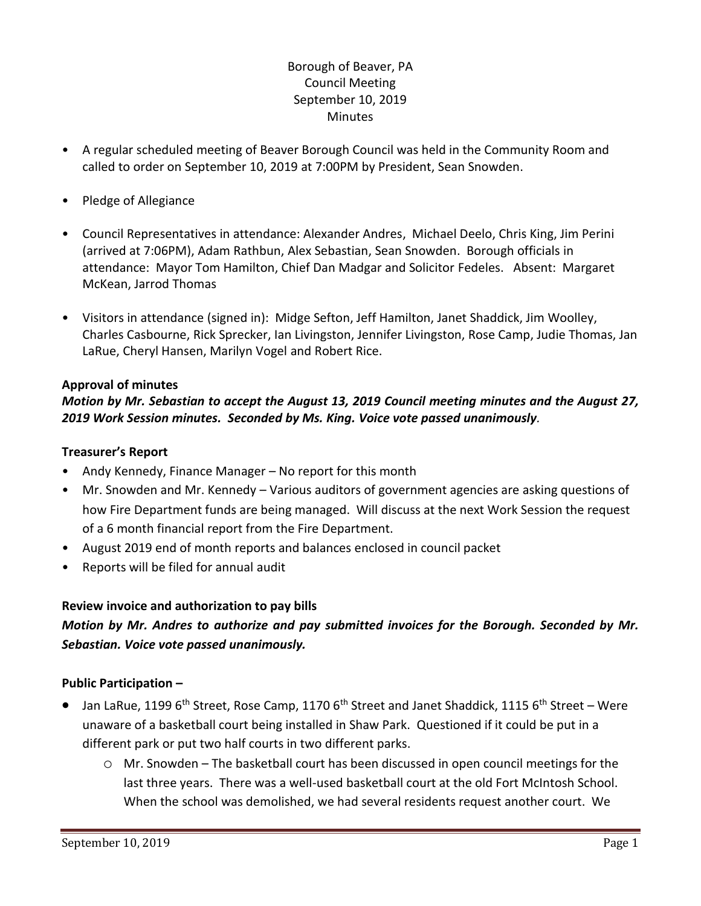# Borough of Beaver, PA Council Meeting September 10, 2019 **Minutes**

- A regular scheduled meeting of Beaver Borough Council was held in the Community Room and called to order on September 10, 2019 at 7:00PM by President, Sean Snowden.
- Pledge of Allegiance
- Council Representatives in attendance: Alexander Andres, Michael Deelo, Chris King, Jim Perini (arrived at 7:06PM), Adam Rathbun, Alex Sebastian, Sean Snowden. Borough officials in attendance: Mayor Tom Hamilton, Chief Dan Madgar and Solicitor Fedeles. Absent: Margaret McKean, Jarrod Thomas
- Visitors in attendance (signed in): Midge Sefton, Jeff Hamilton, Janet Shaddick, Jim Woolley, Charles Casbourne, Rick Sprecker, Ian Livingston, Jennifer Livingston, Rose Camp, Judie Thomas, Jan LaRue, Cheryl Hansen, Marilyn Vogel and Robert Rice.

#### **Approval of minutes**

### *Motion by Mr. Sebastian to accept the August 13, 2019 Council meeting minutes and the August 27, 2019 Work Session minutes. Seconded by Ms. King. Voice vote passed unanimously.*

#### **Treasurer's Report**

- Andy Kennedy, Finance Manager No report for this month
- Mr. Snowden and Mr. Kennedy Various auditors of government agencies are asking questions of how Fire Department funds are being managed. Will discuss at the next Work Session the request of a 6 month financial report from the Fire Department.
- August 2019 end of month reports and balances enclosed in council packet
- Reports will be filed for annual audit

### **Review invoice and authorization to pay bills**

# *Motion by Mr. Andres to authorize and pay submitted invoices for the Borough. Seconded by Mr. Sebastian. Voice vote passed unanimously.*

### **Public Participation –**

- $\bullet$  Jan LaRue, 1199 6<sup>th</sup> Street, Rose Camp, 1170 6<sup>th</sup> Street and Janet Shaddick, 1115 6<sup>th</sup> Street Were unaware of a basketball court being installed in Shaw Park. Questioned if it could be put in a different park or put two half courts in two different parks.
	- o Mr. Snowden The basketball court has been discussed in open council meetings for the last three years. There was a well-used basketball court at the old Fort McIntosh School. When the school was demolished, we had several residents request another court. We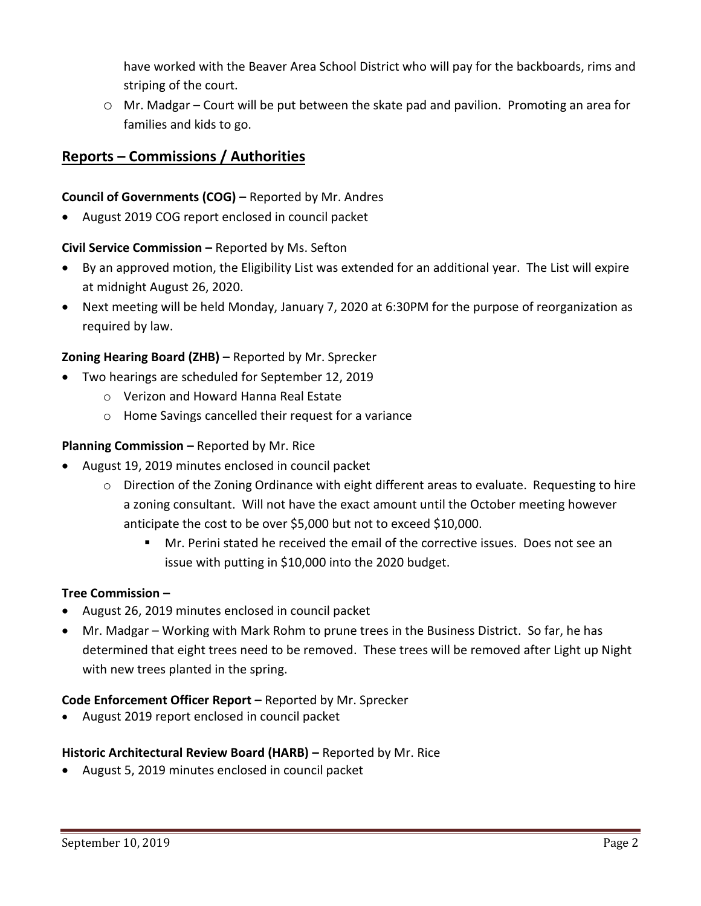have worked with the Beaver Area School District who will pay for the backboards, rims and striping of the court.

o Mr. Madgar – Court will be put between the skate pad and pavilion. Promoting an area for families and kids to go.

# **Reports – Commissions / Authorities**

### **Council of Governments (COG) –** Reported by Mr. Andres

August 2019 COG report enclosed in council packet

### **Civil Service Commission –** Reported by Ms. Sefton

- By an approved motion, the Eligibility List was extended for an additional year. The List will expire at midnight August 26, 2020.
- Next meeting will be held Monday, January 7, 2020 at 6:30PM for the purpose of reorganization as required by law.

### **Zoning Hearing Board (ZHB) –** Reported by Mr. Sprecker

- Two hearings are scheduled for September 12, 2019
	- o Verizon and Howard Hanna Real Estate
	- o Home Savings cancelled their request for a variance

### **Planning Commission –** Reported by Mr. Rice

- August 19, 2019 minutes enclosed in council packet
	- $\circ$  Direction of the Zoning Ordinance with eight different areas to evaluate. Requesting to hire a zoning consultant. Will not have the exact amount until the October meeting however anticipate the cost to be over \$5,000 but not to exceed \$10,000.
		- Mr. Perini stated he received the email of the corrective issues. Does not see an issue with putting in \$10,000 into the 2020 budget.

### **Tree Commission –**

- August 26, 2019 minutes enclosed in council packet
- Mr. Madgar Working with Mark Rohm to prune trees in the Business District. So far, he has determined that eight trees need to be removed. These trees will be removed after Light up Night with new trees planted in the spring.

### **Code Enforcement Officer Report –** Reported by Mr. Sprecker

August 2019 report enclosed in council packet

### **Historic Architectural Review Board (HARB) –** Reported by Mr. Rice

August 5, 2019 minutes enclosed in council packet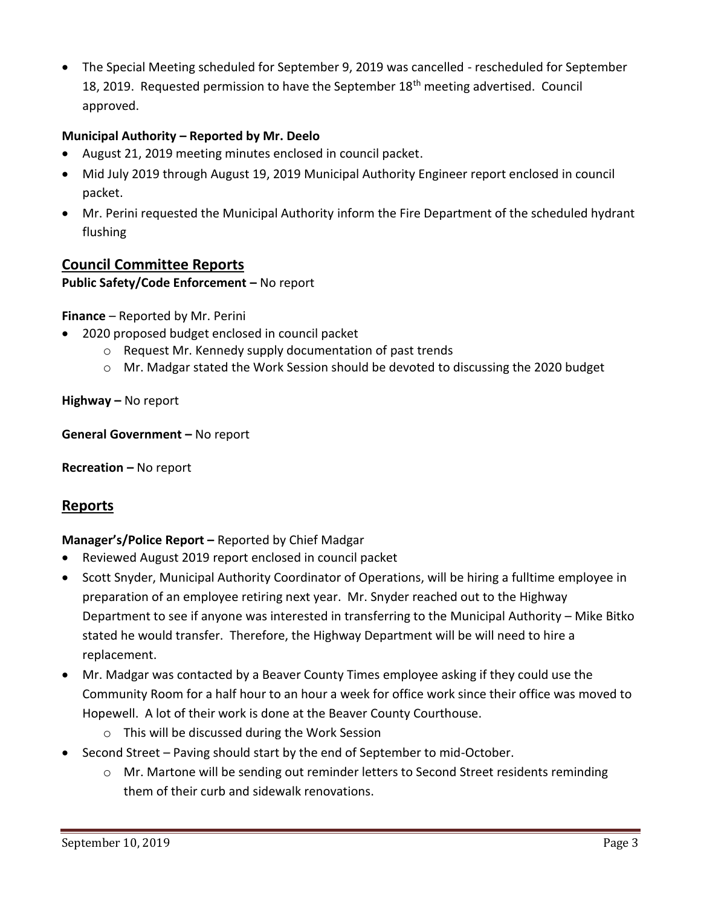The Special Meeting scheduled for September 9, 2019 was cancelled - rescheduled for September 18, 2019. Requested permission to have the September 18<sup>th</sup> meeting advertised. Council approved.

### **Municipal Authority – Reported by Mr. Deelo**

- August 21, 2019 meeting minutes enclosed in council packet.
- Mid July 2019 through August 19, 2019 Municipal Authority Engineer report enclosed in council packet.
- Mr. Perini requested the Municipal Authority inform the Fire Department of the scheduled hydrant flushing

# **Council Committee Reports**

### **Public Safety/Code Enforcement –** No report

**Finance** – Reported by Mr. Perini

- 2020 proposed budget enclosed in council packet
	- o Request Mr. Kennedy supply documentation of past trends
	- o Mr. Madgar stated the Work Session should be devoted to discussing the 2020 budget

**Highway –** No report

**General Government –** No report

**Recreation –** No report

# **Reports**

### **Manager's/Police Report –** Reported by Chief Madgar

- Reviewed August 2019 report enclosed in council packet
- Scott Snyder, Municipal Authority Coordinator of Operations, will be hiring a fulltime employee in preparation of an employee retiring next year. Mr. Snyder reached out to the Highway Department to see if anyone was interested in transferring to the Municipal Authority – Mike Bitko stated he would transfer. Therefore, the Highway Department will be will need to hire a replacement.
- Mr. Madgar was contacted by a Beaver County Times employee asking if they could use the Community Room for a half hour to an hour a week for office work since their office was moved to Hopewell. A lot of their work is done at the Beaver County Courthouse.
	- o This will be discussed during the Work Session
- Second Street Paving should start by the end of September to mid-October.
	- o Mr. Martone will be sending out reminder letters to Second Street residents reminding them of their curb and sidewalk renovations.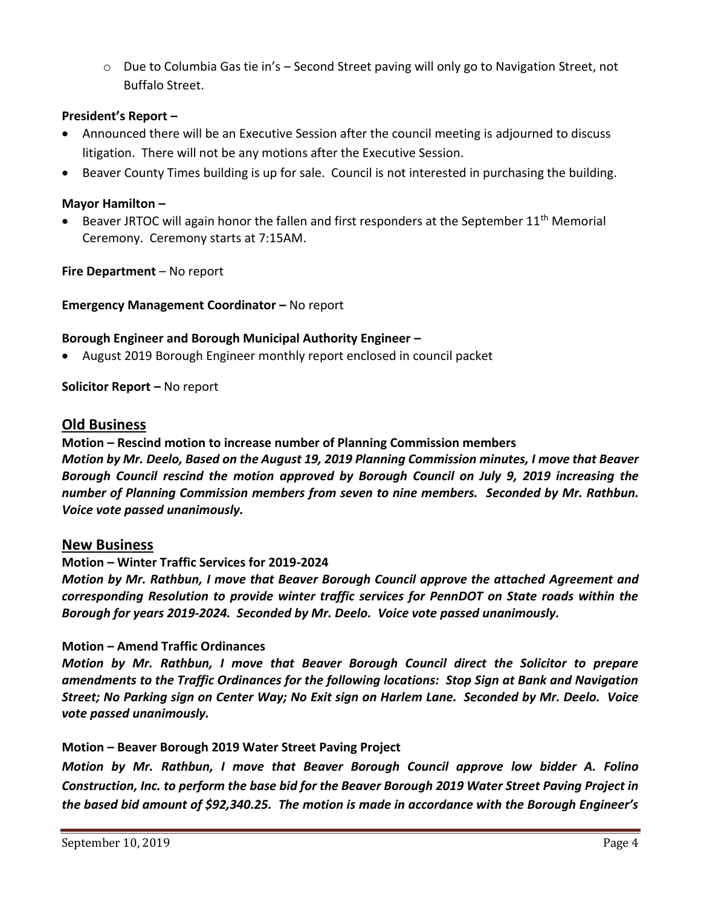$\circ$  Due to Columbia Gas tie in's – Second Street paving will only go to Navigation Street, not Buffalo Street.

### **President's Report –**

- Announced there will be an Executive Session after the council meeting is adjourned to discuss litigation. There will not be any motions after the Executive Session.
- Beaver County Times building is up for sale. Council is not interested in purchasing the building.

#### **Mayor Hamilton –**

**Beaver JRTOC will again honor the fallen and first responders at the September 11<sup>th</sup> Memorial** Ceremony. Ceremony starts at 7:15AM.

**Fire Department** – No report

**Emergency Management Coordinator - No report** 

#### **Borough Engineer and Borough Municipal Authority Engineer –**

August 2019 Borough Engineer monthly report enclosed in council packet

**Solicitor Report –** No report

### **Old Business**

#### **Motion – Rescind motion to increase number of Planning Commission members**

*Motion by Mr. Deelo, Based on the August 19, 2019 Planning Commission minutes, I move that Beaver Borough Council rescind the motion approved by Borough Council on July 9, 2019 increasing the number of Planning Commission members from seven to nine members. Seconded by Mr. Rathbun. Voice vote passed unanimously.*

#### **New Business**

#### **Motion – Winter Traffic Services for 2019-2024**

*Motion by Mr. Rathbun, I move that Beaver Borough Council approve the attached Agreement and corresponding Resolution to provide winter traffic services for PennDOT on State roads within the Borough for years 2019-2024. Seconded by Mr. Deelo. Voice vote passed unanimously.*

#### **Motion – Amend Traffic Ordinances**

*Motion by Mr. Rathbun, I move that Beaver Borough Council direct the Solicitor to prepare amendments to the Traffic Ordinances for the following locations: Stop Sign at Bank and Navigation Street; No Parking sign on Center Way; No Exit sign on Harlem Lane. Seconded by Mr. Deelo. Voice vote passed unanimously.*

#### **Motion – Beaver Borough 2019 Water Street Paving Project**

*Motion by Mr. Rathbun, I move that Beaver Borough Council approve low bidder A. Folino Construction, Inc. to perform the base bid for the Beaver Borough 2019 Water Street Paving Project in the based bid amount of \$92,340.25. The motion is made in accordance with the Borough Engineer's*